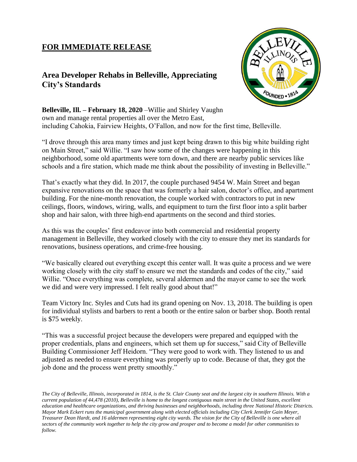## **FOR IMMEDIATE RELEASE**

## **Area Developer Rehabs in Belleville, Appreciating City's Standards**



**Belleville, Ill. – February 18, 2020** –Willie and Shirley Vaughn own and manage rental properties all over the Metro East, including Cahokia, Fairview Heights, O'Fallon, and now for the first time, Belleville.

"I drove through this area many times and just kept being drawn to this big white building right on Main Street," said Willie. "I saw how some of the changes were happening in this neighborhood, some old apartments were torn down, and there are nearby public services like schools and a fire station, which made me think about the possibility of investing in Belleville."

That's exactly what they did. In 2017, the couple purchased 9454 W. Main Street and began expansive renovations on the space that was formerly a hair salon, doctor's office, and apartment building. For the nine-month renovation, the couple worked with contractors to put in new ceilings, floors, windows, wiring, walls, and equipment to turn the first floor into a split barber shop and hair salon, with three high-end apartments on the second and third stories.

As this was the couples' first endeavor into both commercial and residential property management in Belleville, they worked closely with the city to ensure they met its standards for renovations, business operations, and crime-free housing.

"We basically cleared out everything except this center wall. It was quite a process and we were working closely with the city staff to ensure we met the standards and codes of the city," said Willie. "Once everything was complete, several aldermen and the mayor came to see the work we did and were very impressed. I felt really good about that!"

Team Victory Inc. Styles and Cuts had its grand opening on Nov. 13, 2018. The building is open for individual stylists and barbers to rent a booth or the entire salon or barber shop. Booth rental is \$75 weekly.

"This was a successful project because the developers were prepared and equipped with the proper credentials, plans and engineers, which set them up for success," said City of Belleville Building Commissioner Jeff Heidorn. "They were good to work with. They listened to us and adjusted as needed to ensure everything was properly up to code. Because of that, they got the job done and the process went pretty smoothly."

*The City of Belleville, Illinois, incorporated in 1814, is the St. Clair County seat and the largest city in southern Illinois. With a current population of 44,478 (2010), Belleville is home to the longest contiguous main street in the United States, excellent education and healthcare organizations, and thriving businesses and neighborhoods, including three National Historic Districts. Mayor Mark Eckert runs the municipal government along with elected officials including City Clerk Jennifer Gain Meyer, Treasurer Dean Hardt, and 16 aldermen representing eight city wards. The vision for the City of Belleville is one where all sectors of the community work together to help the city grow and prosper and to become a model for other communities to follow.*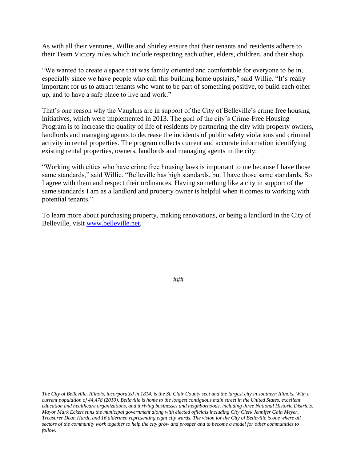As with all their ventures, Willie and Shirley ensure that their tenants and residents adhere to their Team Victory rules which include respecting each other, elders, children, and their shop.

"We wanted to create a space that was family oriented and comfortable for everyone to be in, especially since we have people who call this building home upstairs," said Willie. "It's really important for us to attract tenants who want to be part of something positive, to build each other up, and to have a safe place to live and work."

That's one reason why the Vaughns are in support of the City of Belleville's crime free housing initiatives, which were implemented in 2013. The goal of the city's Crime-Free Housing Program is to increase the quality of life of residents by partnering the city with property owners, landlords and managing agents to decrease the incidents of public safety violations and criminal activity in rental properties. The program collects current and accurate information identifying existing rental properties, owners, landlords and managing agents in the city.

"Working with cities who have crime free housing laws is important to me because I have those same standards," said Willie. "Belleville has high standards, but I have those same standards, So I agree with them and respect their ordinances. Having something like a city in support of the same standards I am as a landlord and property owner is helpful when it comes to working with potential tenants."

To learn more about purchasing property, making renovations, or being a landlord in the City of Belleville, visit [www.belleville.net.](http://www.belleville.net/)

###

*The City of Belleville, Illinois, incorporated in 1814, is the St. Clair County seat and the largest city in southern Illinois. With a current population of 44,478 (2010), Belleville is home to the longest contiguous main street in the United States, excellent education and healthcare organizations, and thriving businesses and neighborhoods, including three National Historic Districts. Mayor Mark Eckert runs the municipal government along with elected officials including City Clerk Jennifer Gain Meyer, Treasurer Dean Hardt, and 16 aldermen representing eight city wards. The vision for the City of Belleville is one where all sectors of the community work together to help the city grow and prosper and to become a model for other communities to follow.*